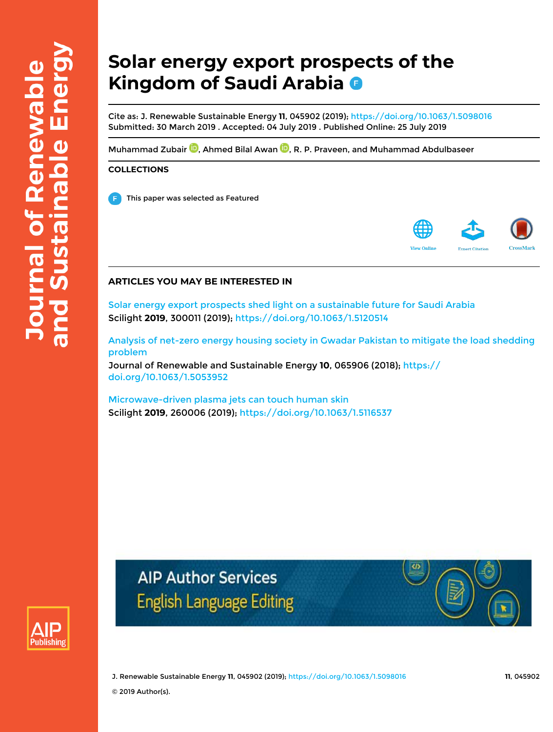# **Solar energy export prospects of the Kingdom of Saudi Arabia**

Cite as: J. Renewable Sustainable Energy **11**, 045902 (2019); https://doi.org/10.1063/1.5098016 Submitted: 30 March 2019 . Accepted: 04 July 2019 . Published Online: 25 July 2019

Muhammad Zubair **D**. Ahmed Bilal Awan **D.** R. P. Praveen, and Muhammad Abdulbaseer

**COLLECTIONS**

This paper was selected as Featured



### **ARTICLES YOU MAY BE INTERESTED IN**

Solar energy export prospects shed light on a sustainable future for Saudi Arabia Scilight **2019**, 300011 (2019); https://doi.org/10.1063/1.5120514

Analysis of net-zero energy housing society in Gwadar Pakistan to mitigate the load shedding problem

Journal of Renewable and Sustainable Energy **10**, 065906 (2018); https:// doi.org/10.1063/1.5053952

Microwave-driven plasma jets can touch human skin Scilight **2019**, 260006 (2019); https://doi.org/10.1063/1.5116537



**AIP Author Services English Language Editing** 



J. Renewable Sustainable Energy **11**, 045902 (2019); https://doi.org/10.1063/1.5098016 **11**, 045902

© 2019 Author(s).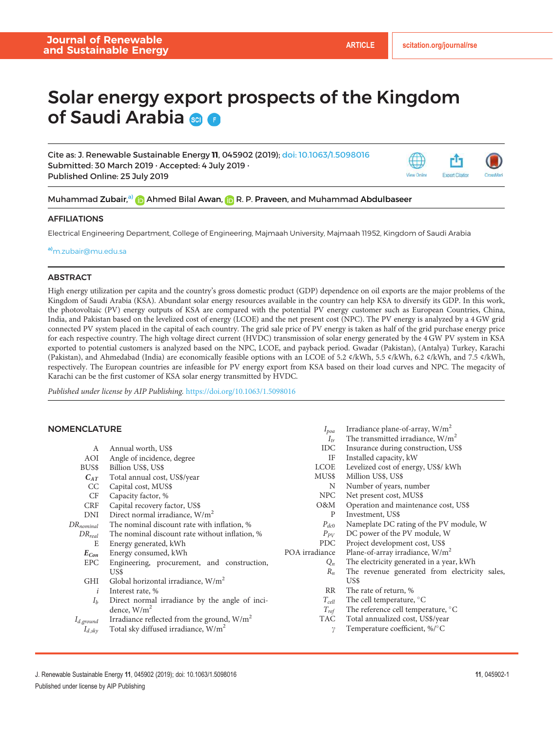$I_{\text{p}oa}$  Irradiance plane-of-array, W/m<sup>2</sup>

generated in a year, kWh generated from electricity sales,

## Solar energy export prospects of the Kingdom of Saudi Arabia

Cite as: J. Renewable Sustainable Energy 11, 045902 (2019); doi: 10.1063/1.5098016 Submitted: 30 March 2019 · Accepted: 4 July 2019 · Published Online: 25 July 2019



Muhammad Zubair,<sup>a)</sup> **In** Ahmed Bilal Awan, **In** R. P. Praveen, and Muhammad Abdulbaseer

#### AFFILIATIONS

Electrical Engineering Department, College of Engineering, Majmaah University, Majmaah 11952, Kingdom of Saudi Arabia

a)<sub>m.zubair@mu.edu.sa</sub>

#### **ABSTRACT**

High energy utilization per capita and the country's gross domestic product (GDP) dependence on oil exports are the major problems of the Kingdom of Saudi Arabia (KSA). Abundant solar energy resources available in the country can help KSA to diversify its GDP. In this work, the photovoltaic (PV) energy outputs of KSA are compared with the potential PV energy customer such as European Countries, China, India, and Pakistan based on the levelized cost of energy (LCOE) and the net present cost (NPC). The PV energy is analyzed by a 4 GW grid connected PV system placed in the capital of each country. The grid sale price of PV energy is taken as half of the grid purchase energy price for each respective country. The high voltage direct current (HVDC) transmission of solar energy generated by the 4 GW PV system in KSA exported to potential customers is analyzed based on the NPC, LCOE, and payback period. Gwadar (Pakistan), (Antalya) Turkey, Karachi (Pakistan), and Ahmedabad (India) are economically feasible options with an LCOE of 5.2 ¢/kWh, 5.5 ¢/kWh, 6.2 ¢/kWh, and 7.5 ¢/kWh, respectively. The European countries are infeasible for PV energy export from KSA based on their load curves and NPC. The megacity of Karachi can be the first customer of KSA solar energy transmitted by HVDC.

Published under license by AIP Publishing. https://doi.org/10.1063/1.5098016

#### **NOMENCLATURE**

|                      |                                                 | $I_{tr}$       | The transmitted irradiance, $W/m^2$         |
|----------------------|-------------------------------------------------|----------------|---------------------------------------------|
| А                    | Annual worth, US\$                              | IDC            | Insurance during construction, US\$         |
| AOI                  | Angle of incidence, degree                      | IF             | Installed capacity, kW                      |
| BUS\$                | Billion US\$, US\$                              | <b>LCOE</b>    | Levelized cost of energy, US\$/ kWh         |
| $C_{AT}$             | Total annual cost, US\$/year                    | MUS\$          | Million US\$, US\$                          |
| CC                   | Capital cost, MUS\$                             | N              | Number of years, number                     |
| <b>CF</b>            | Capacity factor, %                              | <b>NPC</b>     | Net present cost, MUS\$                     |
| <b>CRF</b>           | Capital recovery factor, US\$                   | O&M            | Operation and maintenance cost, US\$        |
| <b>DNI</b>           | Direct normal irradiance, $W/m^2$               | P              | Investment, US\$                            |
| ${\it DR_{nominal}}$ | The nominal discount rate with inflation, %     | $P_{dc0}$      | Nameplate DC rating of the PV module, W     |
| $DR_{real}$          | The nominal discount rate without inflation, %  | $P_{PV}$       | DC power of the PV module, W                |
| E                    | Energy generated, kWh                           | PDC            | Project development cost, US\$              |
| $E_{Con}$            | Energy consumed, kWh                            | POA irradiance | Plane-of-array irradiance, W/m <sup>2</sup> |
| <b>EPC</b>           | Engineering, procurement, and construction,     | $Q_n$          | The electricity generated in a year, kWh    |
|                      | US\$                                            | $R_n$          | The revenue generated from electricity      |
| GHI                  | Global horizontal irradiance, $W/m^2$           |                | US\$                                        |
| i                    | Interest rate, %                                | <b>RR</b>      | The rate of return, %                       |
| I <sub>b</sub>       | Direct normal irradiance by the angle of inci-  | $T_{cell}$     | The cell temperature, °C                    |
|                      | dence, $W/m^2$                                  | $T_{ref}$      | The reference cell temperature, °C          |
| $I_{d,ground}$       | Irradiance reflected from the ground, $W/m2$    | TAC            | Total annualized cost, US\$/year            |
| $I_{d,sky}$          | Total sky diffused irradiance, W/m <sup>2</sup> | $\gamma$       | Temperature coefficient, %/°C               |
|                      |                                                 |                |                                             |

J. Renewable Sustainable Energy 11, 045902 (2019); doi: 10.1063/1.5098016 11, 045902-1 Published under license by AIP Publishing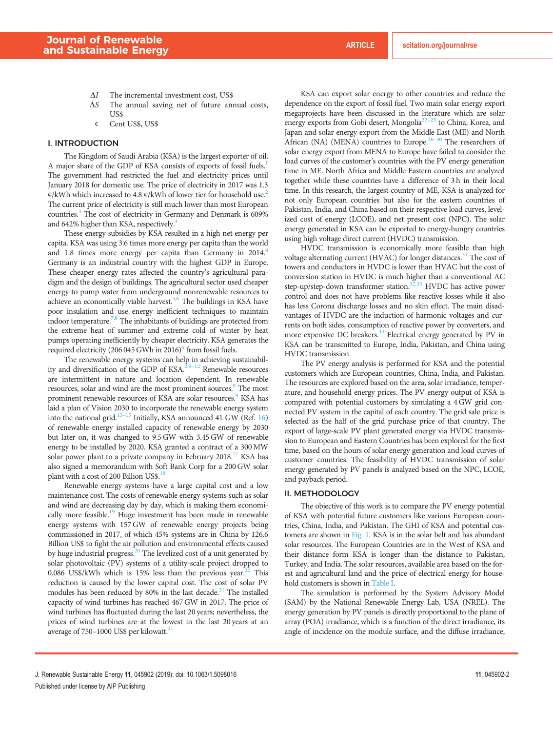- $\Delta I$  The incremental investment cost, US\$
- $\Delta S$  The annual saving net of future annual costs, US\$
- ¢ Cent US\$, US\$

#### I. INTRODUCTION

The Kingdom of Saudi Arabia (KSA) is the largest exporter of oil. A major share of the GDP of KSA consists of exports of fossil fuels.<sup>1</sup> The government had restricted the fuel and electricity prices until January 2018 for domestic use. The price of electricity in 2017 was 1.3  $\ell$ /kWh which increased to 4.8  $\ell$ /kWh of lower tier for household use.<sup>2</sup> The current price of electricity is still much lower than most European countries.<sup>3</sup> The cost of electricity in Germany and Denmark is 609% and 642% higher than KSA, respectively.<sup>3</sup>

These energy subsidies by KSA resulted in a high net energy per capita. KSA was using 3.6 times more energy per capita than the world and 1.8 times more energy per capita than Germany in  $2014<sup>4</sup>$ Germany is an industrial country with the highest GDP in Europe. These cheaper energy rates affected the country's agricultural paradigm and the design of buildings. The agricultural sector used cheaper energy to pump water from underground nonrenewable resources to achieve an economically viable harvest.<sup>5,6</sup> The buildings in KSA have poor insulation and use energy inefficient techniques to maintain indoor temperature.<sup>7,8</sup> The inhabitants of buildings are protected from the extreme heat of summer and extreme cold of winter by heat pumps operating inefficiently by cheaper electricity. KSA generates the required electricity (206 045 GWh in  $2016)^4$  from fossil fuels.

The renewable energy systems can help in achieving sustainability and diversification of the GDP of KSA.<sup>2,9-12</sup> Renewable resources are intermittent in nature and location dependent. In renewable resources, solar and wind are the most prominent sources.<sup>9</sup> The most prominent renewable resources of KSA are solar resources.<sup>9</sup> KSA has laid a plan of Vision 2030 to incorporate the renewable energy system into the national grid.<sup>13–15</sup> Initially, KSA announced 41 GW (Ref. 16) of renewable energy installed capacity of renewable energy by 2030 but later on, it was changed to 9.5 GW with 3.45 GW of renewable energy to be installed by 2020. KSA granted a contract of a 300 MW solar power plant to a private company in February 2018.<sup>17</sup> KSA has also signed a memorandum with Soft Bank Corp for a 200 GW solar plant with a cost of 200 Billion US\$.<sup>1</sup>

Renewable energy systems have a large capital cost and a low maintenance cost. The costs of renewable energy systems such as solar and wind are decreasing day by day, which is making them economically more feasible.<sup>19</sup> Huge investment has been made in renewable energy systems with 157 GW of renewable energy projects being commissioned in 2017, of which 45% systems are in China by 126.6 Billion US\$ to fight the air pollution and environmental effects caused by huge industrial progress.<sup>20</sup> The levelized cost of a unit generated by solar photovoltaic (PV) systems of a utility-scale project dropped to 0.086 US\$/kWh which is 15% less than the previous year.<sup>20</sup> This reduction is caused by the lower capital cost. The cost of solar PV modules has been reduced by 80% in the last decade.<sup>21</sup> The installed capacity of wind turbines has reached 467 GW in 2017. The price of wind turbines has fluctuated during the last 20 years; nevertheless, the prices of wind turbines are at the lowest in the last 20 years at an average of 750–1000 US\$ per kilowatt.<sup>21</sup>

KSA can export solar energy to other countries and reduce the dependence on the export of fossil fuel. Two main solar energy export megaprojects have been discussed in the literature which are solar energy exports from Gobi desert, Mongolia<sup>22–25</sup> to China, Korea, and Japan and solar energy export from the Middle East (ME) and North African (NA) (MENA) countries to Europe.<sup>26–30</sup> The researchers of solar energy export from MENA to Europe have failed to consider the load curves of the customer's countries with the PV energy generation time in ME. North Africa and Middle Eastern countries are analyzed together while these countries have a difference of 3 h in their local time. In this research, the largest country of ME, KSA is analyzed for not only European countries but also for the eastern countries of Pakistan, India, and China based on their respective load curves, levelized cost of energy (LCOE), and net present cost (NPC). The solar energy generated in KSA can be exported to energy-hungry countries using high voltage direct current (HVDC) transmission.

HVDC transmission is economically more feasible than high voltage alternating current (HVAC) for longer distances.<sup>31</sup> The cost of towers and conductors in HVDC is lower than HVAC but the cost of conversion station in HVDC is much higher than a conventional AC step-up/step-down transformer station.<sup>32,33</sup> HVDC has active power control and does not have problems like reactive losses while it also has less Corona discharge losses and no skin effect. The main disadvantages of HVDC are the induction of harmonic voltages and currents on both sides, consumption of reactive power by converters, and more expensive DC breakers.<sup>34</sup> Electrical energy generated by PV in KSA can be transmitted to Europe, India, Pakistan, and China using HVDC transmission.

The PV energy analysis is performed for KSA and the potential customers which are European countries, China, India, and Pakistan. The resources are explored based on the area, solar irradiance, temperature, and household energy prices. The PV energy output of KSA is compared with potential customers by simulating a 4 GW grid connected PV system in the capital of each country. The grid sale price is selected as the half of the grid purchase price of that country. The export of large-scale PV plant generated energy via HVDC transmission to European and Eastern Countries has been explored for the first time, based on the hours of solar energy generation and load curves of customer countries. The feasibility of HVDC transmission of solar energy generated by PV panels is analyzed based on the NPC, LCOE, and payback period.

#### II. METHODOLOGY

The objective of this work is to compare the PV energy potential of KSA with potential future customers like various European countries, China, India, and Pakistan. The GHI of KSA and potential customers are shown in Fig. 1. KSA is in the solar belt and has abundant solar resources. The European Countries are in the West of KSA and their distance form KSA is longer than the distance to Pakistan, Turkey, and India. The solar resources, available area based on the forest and agricultural land and the price of electrical energy for household customers is shown in Table I.

The simulation is performed by the System Advisory Model (SAM) by the National Renewable Energy Lab, USA (NREL). The energy generation by PV panels is directly proportional to the plane of array (POA) irradiance, which is a function of the direct irradiance, its angle of incidence on the module surface, and the diffuse irradiance,

J. Renewable Sustainable Energy 11, 045902 (2019); doi: 10.1063/1.5098016 11, 045902-2 Published under license by AIP Publishing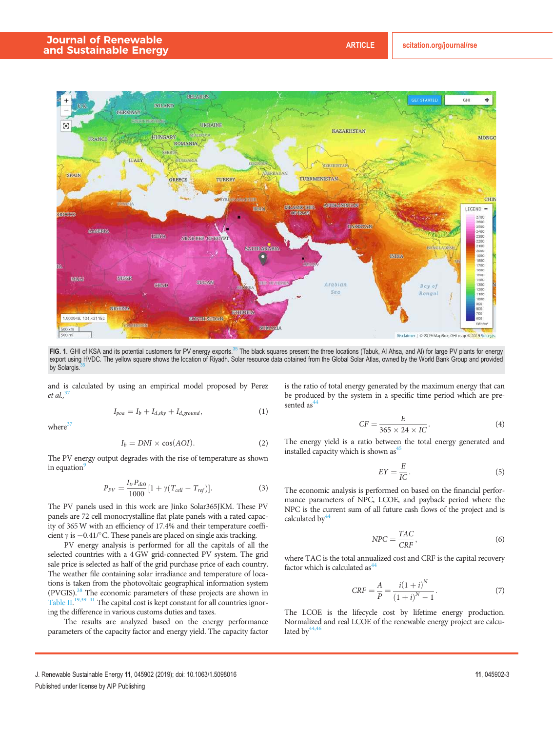

FIG. 1. GHI of KSA and its potential customers for PV energy exports.<sup>35</sup> The black squares present the three locations (Tabuk, AI Ahsa, and AI) for large PV plants for energy export using HVDC. The yellow square shows the location of Riyadh. Solar resource data obtained from the Global Solar Atlas, owned by the World Bank Group and provided by Solargis.

and is calculated by using an empirical model proposed by Perez et al. $^3$ 

$$
I_{poa} = I_b + I_{d,sky} + I_{d,ground},
$$
\n<sup>(1)</sup>

where<sup>3</sup>

$$
I_b = DNI \times \cos(AOI). \tag{2}
$$

The PV energy output degrades with the rise of temperature as shown in equation $\frac{9}{2}$ 

$$
P_{PV} = \frac{I_{tr} P_{d00}}{1000} \left[ 1 + \gamma (T_{cell} - T_{ref}) \right]. \tag{3}
$$

The PV panels used in this work are Jinko Solar365JKM. These PV panels are 72 cell monocrystalline flat plate panels with a rated capacity of 365W with an efficiency of 17.4% and their temperature coefficient  $\gamma$  is  $-0.41$ /°C. These panels are placed on single axis tracking.

PV energy analysis is performed for all the capitals of all the selected countries with a 4 GW grid-connected PV system. The grid sale price is selected as half of the grid purchase price of each country. The weather file containing solar irradiance and temperature of locations is taken from the photovoltaic geographical information system (PVGIS).<sup>38</sup> The economic parameters of these projects are shown in Table II.<sup>19,39-41</sup> The capital cost is kept constant for all countries ignoring the difference in various customs duties and taxes.

The results are analyzed based on the energy performance parameters of the capacity factor and energy yield. The capacity factor is the ratio of total energy generated by the maximum energy that can be produced by the system in a specific time period which are presented as $44$ 

$$
CF = \frac{E}{365 \times 24 \times IC}.
$$
 (4)

The energy yield is a ratio between the total energy generated and installed capacity which is shown as $45$ 

$$
EY = \frac{E}{IC}.
$$
 (5)

The economic analysis is performed on based on the financial performance parameters of NPC, LCOE, and payback period where the NPC is the current sum of all future cash flows of the project and is calculated by $44$ 

$$
NPC = \frac{TAC}{CRF},\tag{6}
$$

where TAC is the total annualized cost and CRF is the capital recovery factor which is calculated as  $44$ 

$$
CRF = \frac{A}{P} = \frac{i(1+i)^N}{(1+i)^N - 1}.
$$
 (7)

The LCOE is the lifecycle cost by lifetime energy production. Normalized and real LCOE of the renewable energy project are calculated by $44,46$ 

J. Renewable Sustainable Energy 11, 045902 (2019); doi: 10.1063/1.5098016 11, 045902-3 Published under license by AIP Publishing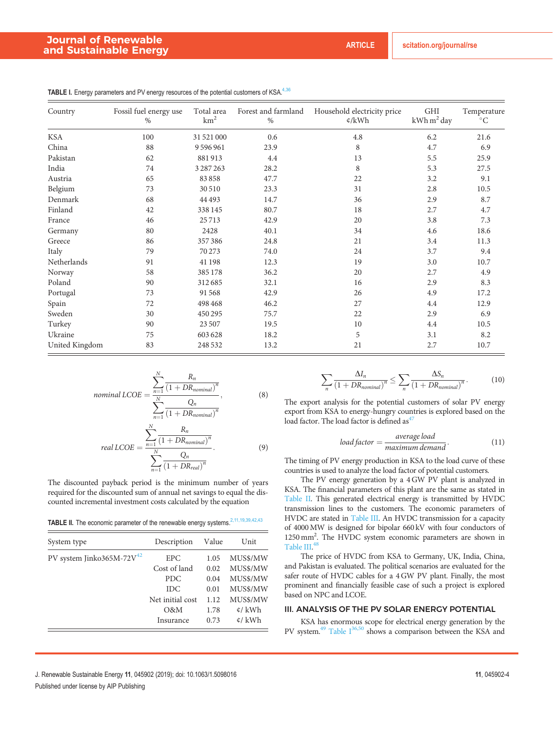| Country        | Fossil fuel energy use<br>$\%$ | Total area<br>km <sup>2</sup> | Forest and farmland<br>% | Household electricity price<br>$\frac{\text{C}}{\text{K}}$ | GHI<br>kWh m <sup>2</sup> day | Temperature<br>$^{\circ}{\rm C}$ |
|----------------|--------------------------------|-------------------------------|--------------------------|------------------------------------------------------------|-------------------------------|----------------------------------|
| KSA            | 100                            | 31 521 000                    | 0.6                      | 4.8                                                        | 6.2                           | 21.6                             |
| China          | 88                             | 9596961                       | 23.9                     | 8                                                          | 4.7                           | 6.9                              |
| Pakistan       | 62                             | 881913                        | 4.4                      | 13                                                         | 5.5                           | 25.9                             |
| India          | 74                             | 3287263                       | 28.2                     | 8                                                          | 5.3                           | 27.5                             |
| Austria        | 65                             | 83858                         | 47.7                     | 22                                                         | 3.2                           | 9.1                              |
| Belgium        | 73                             | 30510                         | 23.3                     | 31                                                         | 2.8                           | 10.5                             |
| Denmark        | 68                             | 44 4 93                       | 14.7                     | 36                                                         | 2.9                           | 8.7                              |
| Finland        | 42                             | 338 145                       | 80.7                     | 18                                                         | 2.7                           | 4.7                              |
| France         | 46                             | 25713                         | 42.9                     | 20                                                         | 3.8                           | 7.3                              |
| Germany        | 80                             | 2428                          | 40.1                     | 34                                                         | 4.6                           | 18.6                             |
| Greece         | 86                             | 357386                        | 24.8                     | 21                                                         | 3.4                           | 11.3                             |
| Italy          | 79                             | 70 273                        | 74.0                     | 24                                                         | 3.7                           | 9.4                              |
| Netherlands    | 91                             | 41 198                        | 12.3                     | 19                                                         | 3.0                           | 10.7                             |
| Norway         | 58                             | 385178                        | 36.2                     | 20                                                         | 2.7                           | 4.9                              |
| Poland         | 90                             | 312685                        | 32.1                     | 16                                                         | 2.9                           | 8.3                              |
| Portugal       | 73                             | 91568                         | 42.9                     | 26                                                         | 4.9                           | 17.2                             |
| Spain          | 72                             | 498 468                       | 46.2                     | 27                                                         | 4.4                           | 12.9                             |
| Sweden         | 30                             | 450 295                       | 75.7                     | 22                                                         | 2.9                           | 6.9                              |
| Turkey         | 90                             | 23 507                        | 19.5                     | 10                                                         | 4.4                           | 10.5                             |
| Ukraine        | 75                             | 603 628                       | 18.2                     | 5                                                          | 3.1                           | 8.2                              |
| United Kingdom | 83                             | 248 532                       | 13.2                     | 21                                                         | 2.7                           | 10.7                             |

**TABLE I.** Energy parameters and PV energy resources of the potential customers of KSA. $4,36$ 

$$
nominal LCOE = \frac{\sum_{n=1}^{N} \frac{R_n}{(1 + DR_{nominal})^n}}{\sum_{n=1}^{N} \frac{Q_n}{(1 + DR_{nominal})^n}},
$$
\n
$$
real LCOE = \frac{\sum_{n=1}^{N} \frac{R_n}{(1 + DR_{nominal})^n}}{\sum_{n=1}^{N} \frac{Q_n}{(1 + DR_{real})^n}}.
$$
\n(9)

The discounted payback period is the minimum number of years required for the discounted sum of annual net savings to equal the discounted incremental investment costs calculated by the equation

**TABLE II.** The economic parameter of the renewable energy systems.<sup>2,11,19,39,42,43</sup>

| System type                     | Description      | Value | Unit                   |
|---------------------------------|------------------|-------|------------------------|
| PV system Jinko365M-72 $V^{42}$ | <b>EPC</b>       | 1.05  | MUS\$/MW               |
|                                 | Cost of land     | 0.02  | MUS\$/MW               |
|                                 | <b>PDC</b>       | 0.04  | MUS\$/MW               |
|                                 | <b>IDC</b>       | 0.01  | MUS\$/MW               |
|                                 | Net initial cost | 1.12  | MUS\$/MW               |
|                                 | $O$ &M           | 1.78  | $\frac{\epsilon}{kWh}$ |
|                                 | Insurance        | 0.73  | $\frac{\epsilon}{kWh}$ |

$$
\sum_{n} \frac{\Delta I_n}{\left(1 + DR_{nominal}\right)^n} \le \sum_{n} \frac{\Delta S_n}{\left(1 + DR_{nominal}\right)^n}.
$$
 (10)

The export analysis for the potential customers of solar PV energy export from KSA to energy-hungry countries is explored based on the load factor. The load factor is defined as<sup>47</sup>

$$
load factor = \frac{average load}{maximum demand}.
$$
 (11)

The timing of PV energy production in KSA to the load curve of these countries is used to analyze the load factor of potential customers.

The PV energy generation by a 4 GW PV plant is analyzed in KSA. The financial parameters of this plant are the same as stated in Table II. This generated electrical energy is transmitted by HVDC transmission lines to the customers. The economic parameters of HVDC are stated in Table III. An HVDC transmission for a capacity of 4000 MW is designed for bipolar 660 kV with four conductors of 1250 mm<sup>2</sup> . The HVDC system economic parameters are shown in Table III. 48

The price of HVDC from KSA to Germany, UK, India, China, and Pakistan is evaluated. The political scenarios are evaluated for the safer route of HVDC cables for a 4 GW PV plant. Finally, the most prominent and financially feasible case of such a project is explored based on NPC and LCOE.

#### III. ANALYSIS OF THE PV SOLAR ENERGY POTENTIAL

KSA has enormous scope for electrical energy generation by the PV system.<sup>49</sup> Table I<sup>36,50</sup> shows a comparison between the KSA and

J. Renewable Sustainable Energy 11, 045902 (2019); doi: 10.1063/1.5098016 11, 045902-4 Published under license by AIP Publishing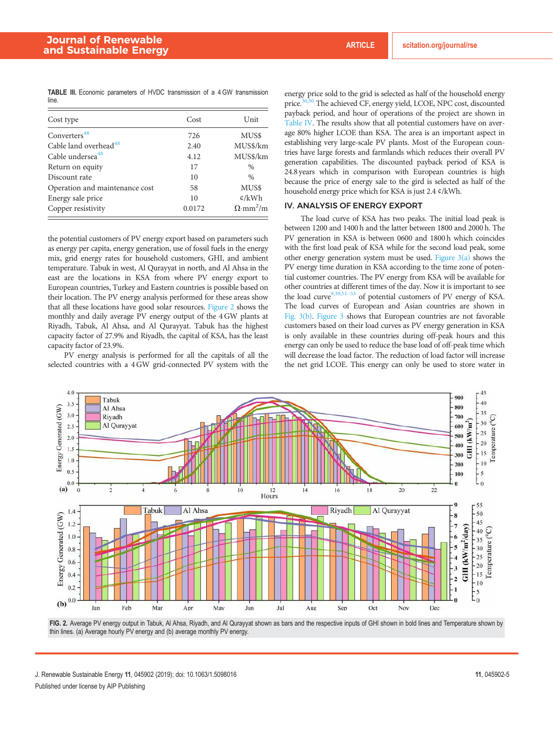TABLE III. Economic parameters of HVDC transmission of a 4 GW transmission line.

| Cost type                         | Cost   | Unit                         |
|-----------------------------------|--------|------------------------------|
| Converters <sup>48</sup>          | 726    | MUS\$                        |
| Cable land overhead <sup>48</sup> | 2.40   | MUS\$/km                     |
| Cable undersea <sup>48</sup>      | 4.12   | MUS\$/km                     |
| Return on equity                  | 17     | $\%$                         |
| Discount rate                     | 10     | $\frac{0}{0}$                |
| Operation and maintenance cost    | 58     | MUS\$                        |
| Energy sale price                 | 10     | $\mathcal{K}/kWh$            |
| Copper resistivity                | 0.0172 | $\Omega$ ·mm <sup>2</sup> /m |

the potential customers of PV energy export based on parameters such as energy per capita, energy generation, use of fossil fuels in the energy mix, grid energy rates for household customers, GHI, and ambient temperature. Tabuk in west, Al Qurayyat in north, and Al Ahsa in the east are the locations in KSA from where PV energy export to European countries, Turkey and Eastern countries is possible based on their location. The PV energy analysis performed for these areas show that all these locations have good solar resources. Figure 2 shows the monthly and daily average PV energy output of the 4 GW plants at Riyadh, Tabuk, Al Ahsa, and Al Qurayyat. Tabuk has the highest capacity factor of 27.9% and Riyadh, the capital of KSA, has the least capacity factor of 23.9%.

PV energy analysis is performed for all the capitals of all the selected countries with a 4 GW grid-connected PV system with the energy price sold to the grid is selected as half of the household energy price.<sup>36,50</sup> The achieved CF, energy yield, LCOE, NPC cost, discounted payback period, and hour of operations of the project are shown in Table IV. The results show that all potential customers have on average 80% higher LCOE than KSA. The area is an important aspect in establishing very large-scale PV plants. Most of the European countries have large forests and farmlands which reduces their overall PV generation capabilities. The discounted payback period of KSA is 24.8 years which in comparison with European countries is high because the price of energy sale to the gird is selected as half of the household energy price which for KSA is just 2.4 ¢/kWh.

#### IV. ANALYSIS OF ENERGY EXPORT

The load curve of KSA has two peaks. The initial load peak is between 1200 and 1400 h and the latter between 1800 and 2000 h. The PV generation in KSA is between 0600 and 1800 h which coincides with the first load peak of KSA while for the second load peak, some other energy generation system must be used. Figure  $3(a)$  shows the PV energy time duration in KSA according to the time zone of potential customer countries. The PV energy from KSA will be available for other countries at different times of the day. Now it is important to see the load curve $9,39,51-53$  of potential customers of PV energy of KSA. The load curves of European and Asian countries are shown in Fig. 3(b). Figure 3 shows that European countries are not favorable customers based on their load curves as PV energy generation in KSA is only available in these countries during off-peak hours and this energy can only be used to reduce the base load of off-peak time which will decrease the load factor. The reduction of load factor will increase the net grid LCOE. This energy can only be used to store water in



FIG. 2. Average PV energy output in Tabuk, AI Ahsa, Riyadh, and AI Qurayyat shown as bars and the respective inputs of GHI shown in bold lines and Temperature shown by thin lines. (a) Average hourly PV energy and (b) average monthly PV energy.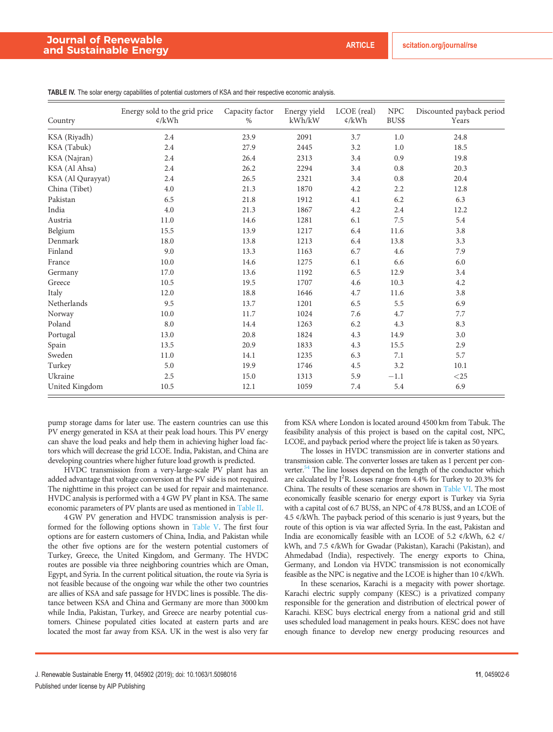| TABLE IV. The solar energy capabilities of potential customers of KSA and their respective economic analysis. |
|---------------------------------------------------------------------------------------------------------------|
|                                                                                                               |

| Country           | Energy sold to the grid price<br>$\mathcal{K}/kWh$ | Capacity factor<br>$\%$ | Energy yield<br>kWh/kW | LCOE (real)<br>$\frac{\cosh(\theta)}{\cosh(\theta)}$ | <b>NPC</b><br>BUS\$ | Discounted payback period<br>Years |
|-------------------|----------------------------------------------------|-------------------------|------------------------|------------------------------------------------------|---------------------|------------------------------------|
| KSA (Riyadh)      | 2.4                                                | 23.9                    | 2091                   | 3.7                                                  | 1.0                 | 24.8                               |
| KSA (Tabuk)       | 2.4                                                | 27.9                    | 2445                   | 3.2                                                  | 1.0                 | 18.5                               |
| KSA (Najran)      | 2.4                                                | 26.4                    | 2313                   | 3.4                                                  | 0.9                 | 19.8                               |
| KSA (Al Ahsa)     | 2.4                                                | 26.2                    | 2294                   | 3.4                                                  | 0.8                 | 20.3                               |
| KSA (Al Qurayyat) | 2.4                                                | 26.5                    | 2321                   | 3.4                                                  | 0.8                 | 20.4                               |
| China (Tibet)     | 4.0                                                | 21.3                    | 1870                   | 4.2                                                  | 2.2                 | 12.8                               |
| Pakistan          | 6.5                                                | 21.8                    | 1912                   | 4.1                                                  | 6.2                 | 6.3                                |
| India             | 4.0                                                | 21.3                    | 1867                   | 4.2                                                  | 2.4                 | 12.2                               |
| Austria           | 11.0                                               | 14.6                    | 1281                   | 6.1                                                  | 7.5                 | 5.4                                |
| Belgium           | 15.5                                               | 13.9                    | 1217                   | 6.4                                                  | 11.6                | 3.8                                |
| Denmark           | 18.0                                               | 13.8                    | 1213                   | 6.4                                                  | 13.8                | 3.3                                |
| Finland           | 9.0                                                | 13.3                    | 1163                   | 6.7                                                  | 4.6                 | 7.9                                |
| France            | 10.0                                               | 14.6                    | 1275                   | 6.1                                                  | 6.6                 | 6.0                                |
| Germany           | 17.0                                               | 13.6                    | 1192                   | 6.5                                                  | 12.9                | 3.4                                |
| Greece            | 10.5                                               | 19.5                    | 1707                   | 4.6                                                  | 10.3                | 4.2                                |
| Italy             | 12.0                                               | 18.8                    | 1646                   | 4.7                                                  | 11.6                | 3.8                                |
| Netherlands       | 9.5                                                | 13.7                    | 1201                   | 6.5                                                  | 5.5                 | 6.9                                |
| Norway            | 10.0                                               | 11.7                    | 1024                   | 7.6                                                  | 4.7                 | 7.7                                |
| Poland            | 8.0                                                | 14.4                    | 1263                   | 6.2                                                  | 4.3                 | 8.3                                |
| Portugal          | 13.0                                               | 20.8                    | 1824                   | 4.3                                                  | 14.9                | 3.0                                |
| Spain             | 13.5                                               | 20.9                    | 1833                   | 4.3                                                  | 15.5                | 2.9                                |
| Sweden            | 11.0                                               | 14.1                    | 1235                   | 6.3                                                  | 7.1                 | 5.7                                |
| Turkey            | 5.0                                                | 19.9                    | 1746                   | 4.5                                                  | 3.2                 | 10.1                               |
| Ukraine           | 2.5                                                | 15.0                    | 1313                   | 5.9                                                  | $-1.1$              | $<$ 25                             |
| United Kingdom    | 10.5                                               | 12.1                    | 1059                   | 7.4                                                  | 5.4                 | 6.9                                |

pump storage dams for later use. The eastern countries can use this PV energy generated in KSA at their peak load hours. This PV energy can shave the load peaks and help them in achieving higher load factors which will decrease the grid LCOE. India, Pakistan, and China are developing countries where higher future load growth is predicted.

HVDC transmission from a very-large-scale PV plant has an added advantage that voltage conversion at the PV side is not required. The nighttime in this project can be used for repair and maintenance. HVDC analysis is performed with a 4 GW PV plant in KSA. The same economic parameters of PV plants are used as mentioned in Table II.

4 GW PV generation and HVDC transmission analysis is performed for the following options shown in Table V. The first four options are for eastern customers of China, India, and Pakistan while the other five options are for the western potential customers of Turkey, Greece, the United Kingdom, and Germany. The HVDC routes are possible via three neighboring countries which are Oman, Egypt, and Syria. In the current political situation, the route via Syria is not feasible because of the ongoing war while the other two countries are allies of KSA and safe passage for HVDC lines is possible. The distance between KSA and China and Germany are more than 3000 km while India, Pakistan, Turkey, and Greece are nearby potential customers. Chinese populated cities located at eastern parts and are located the most far away from KSA. UK in the west is also very far from KSA where London is located around 4500 km from Tabuk. The feasibility analysis of this project is based on the capital cost, NPC, LCOE, and payback period where the project life is taken as 50 years.

The losses in HVDC transmission are in converter stations and transmission cable. The converter losses are taken as 1 percent per converter.<sup>54</sup> The line losses depend on the length of the conductor which are calculated by  $I^2$ R. Losses range from 4.4% for Turkey to 20.3% for China. The results of these scenarios are shown in Table VI. The most economically feasible scenario for energy export is Turkey via Syria with a capital cost of 6.7 BUS\$, an NPC of 4.78 BUS\$, and an LCOE of 4.5 ¢/kWh. The payback period of this scenario is just 9 years, but the route of this option is via war affected Syria. In the east, Pakistan and India are economically feasible with an LCOE of 5.2 ¢/kWh, 6.2 ¢/ kWh, and 7.5 ¢/kWh for Gwadar (Pakistan), Karachi (Pakistan), and Ahmedabad (India), respectively. The energy exports to China, Germany, and London via HVDC transmission is not economically feasible as the NPC is negative and the LCOE is higher than 10 ¢/kWh.

In these scenarios, Karachi is a megacity with power shortage. Karachi electric supply company (KESC) is a privatized company responsible for the generation and distribution of electrical power of Karachi. KESC buys electrical energy from a national grid and still uses scheduled load management in peaks hours. KESC does not have enough finance to develop new energy producing resources and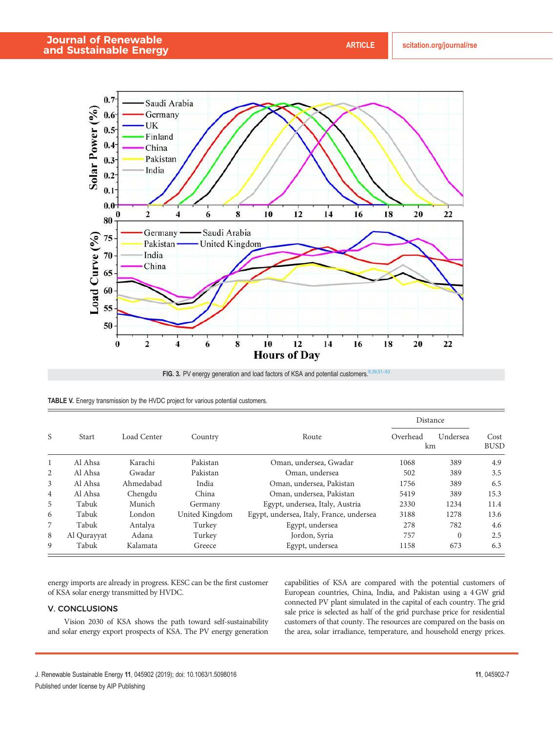

FIG. 3. PV energy generation and load factors of KSA and potential customers. 9,39,51-53

|   |              |             |                |                                          | <b>Distance</b> |          |                     |
|---|--------------|-------------|----------------|------------------------------------------|-----------------|----------|---------------------|
| S | <b>Start</b> | Load Center | Country        | Route                                    | Overhead<br>km  | Undersea | Cost<br><b>BUSD</b> |
|   | Al Ahsa      | Karachi     | Pakistan       | Oman, undersea, Gwadar                   | 1068            | 389      | 4.9                 |
| 2 | Al Ahsa      | Gwadar      | Pakistan       | Oman, undersea                           | 502             | 389      | 3.5                 |
| 3 | Al Ahsa      | Ahmedabad   | India          | Oman, undersea, Pakistan                 | 1756            | 389      | 6.5                 |
| 4 | Al Ahsa      | Chengdu     | China          | Oman, undersea, Pakistan                 | 5419            | 389      | 15.3                |
| 5 | Tabuk        | Munich      | Germany        | Egypt, undersea, Italy, Austria          | 2330            | 1234     | 11.4                |
| 6 | Tabuk        | London      | United Kingdom | Egypt, undersea, Italy, France, undersea | 3188            | 1278     | 13.6                |
| 7 | Tabuk        | Antalya     | Turkey         | Egypt, undersea                          | 278             | 782      | 4.6                 |
| 8 | Al Qurayyat  | Adana       | Turkey         | Jordon, Syria                            | 757             | $\Omega$ | 2.5                 |
| 9 | Tabuk        | Kalamata    | Greece         | Egypt, undersea                          | 1158            | 673      | 6.3                 |

energy imports are already in progress. KESC can be the first customer of KSA solar energy transmitted by HVDC.

#### V. CONCLUSIONS

Vision 2030 of KSA shows the path toward self-sustainability and solar energy export prospects of KSA. The PV energy generation

capabilities of KSA are compared with the potential customers of European countries, China, India, and Pakistan using a 4 GW grid connected PV plant simulated in the capital of each country. The grid sale price is selected as half of the grid purchase price for residential customers of that county. The resources are compared on the basis on the area, solar irradiance, temperature, and household energy prices.

J. Renewable Sustainable Energy 11, 045902 (2019); doi: 10.1063/1.5098016 11, 045902-7 Published under license by AIP Publishing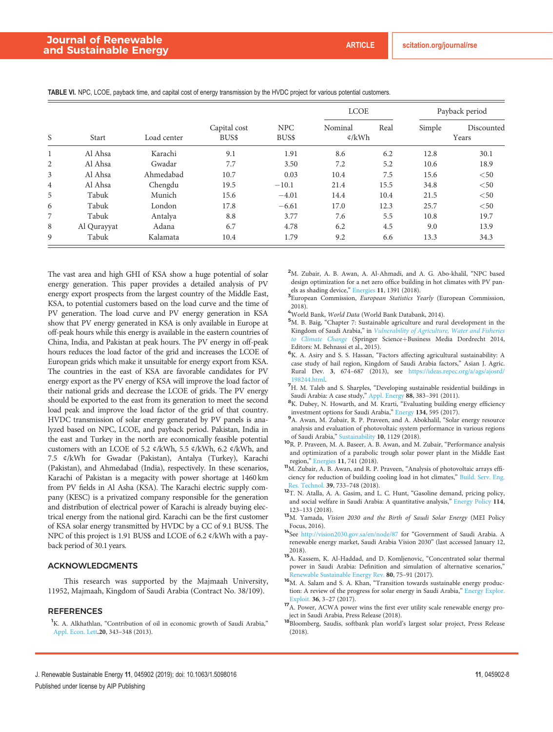|  |  |  | TABLE VI. NPC, LCOE, payback time, and capital cost of energy transmission by the HVDC project for various potential customers. |  |  |
|--|--|--|---------------------------------------------------------------------------------------------------------------------------------|--|--|
|--|--|--|---------------------------------------------------------------------------------------------------------------------------------|--|--|

| S            | Start       | Load center | Capital cost<br>BUS\$ | <b>NPC</b><br>BUS\$ | <b>LCOE</b>            |      | Payback period |                     |
|--------------|-------------|-------------|-----------------------|---------------------|------------------------|------|----------------|---------------------|
|              |             |             |                       |                     | Nominal<br>$\ell$ /kWh | Real | Simple         | Discounted<br>Years |
| $\mathbf{1}$ | Al Ahsa     | Karachi     | 9.1                   | 1.91                | 8.6                    | 6.2  | 12.8           | 30.1                |
| 2            | Al Ahsa     | Gwadar      | 7.7                   | 3.50                | 7.2                    | 5.2  | 10.6           | 18.9                |
| 3            | Al Ahsa     | Ahmedabad   | 10.7                  | 0.03                | 10.4                   | 7.5  | 15.6           | $<$ 50              |
| 4            | Al Ahsa     | Chengdu     | 19.5                  | $-10.1$             | 21.4                   | 15.5 | 34.8           | $50$                |
| 5            | Tabuk       | Munich      | 15.6                  | $-4.01$             | 14.4                   | 10.4 | 21.5           | $<$ 50              |
| 6            | Tabuk       | London      | 17.8                  | $-6.61$             | 17.0                   | 12.3 | 25.7           | $<$ 50              |
| 7            | Tabuk       | Antalya     | 8.8                   | 3.77                | 7.6                    | 5.5  | 10.8           | 19.7                |
| 8            | Al Qurayyat | Adana       | 6.7                   | 4.78                | 6.2                    | 4.5  | 9.0            | 13.9                |
| 9            | Tabuk       | Kalamata    | 10.4                  | 1.79                | 9.2                    | 6.6  | 13.3           | 34.3                |

The vast area and high GHI of KSA show a huge potential of solar energy generation. This paper provides a detailed analysis of PV energy export prospects from the largest country of the Middle East, KSA, to potential customers based on the load curve and the time of PV generation. The load curve and PV energy generation in KSA show that PV energy generated in KSA is only available in Europe at off-peak hours while this energy is available in the eastern countries of China, India, and Pakistan at peak hours. The PV energy in off-peak hours reduces the load factor of the grid and increases the LCOE of European grids which make it unsuitable for energy export from KSA. The countries in the east of KSA are favorable candidates for PV energy export as the PV energy of KSA will improve the load factor of their national grids and decrease the LCOE of grids. The PV energy should be exported to the east from its generation to meet the second load peak and improve the load factor of the grid of that country. HVDC transmission of solar energy generated by PV panels is analyzed based on NPC, LCOE, and payback period. Pakistan, India in the east and Turkey in the north are economically feasible potential customers with an LCOE of 5.2 ¢/kWh, 5.5 ¢/kWh, 6.2 ¢/kWh, and 7.5 ¢/kWh for Gwadar (Pakistan), Antalya (Turkey), Karachi (Pakistan), and Ahmedabad (India), respectively. In these scenarios, Karachi of Pakistan is a megacity with power shortage at 1460 km from PV fields in Al Asha (KSA). The Karachi electric supply company (KESC) is a privatized company responsible for the generation and distribution of electrical power of Karachi is already buying electrical energy from the national gird. Karachi can be the first customer of KSA solar energy transmitted by HVDC by a CC of 9.1 BUS\$. The NPC of this project is 1.91 BUS\$ and LCOE of 6.2 ¢/kWh with a payback period of 30.1 years.

#### ACKNOWLEDGMENTS

This research was supported by the Majmaah University, 11952, Majmaah, Kingdom of Saudi Arabia (Contract No. 38/109).

#### REFERENCES

<sup>1</sup>K. A. Alkhathlan, "Contribution of oil in economic growth of Saudi Arabia," Appl. Econ. Lett.20, 343–348 (2013).

<sup>2</sup>M. Zubair, A. B. Awan, A. Al-Ahmadi, and A. G. Abo-khalil, "NPC based design optimization for a net zero office building in hot climates with PV panels as shading device," Energies 11, 1391 (2018).

<sup>3</sup>European Commission, European Statistics Yearly (European Commission, 2018).

- <sup>4</sup>World Bank, World Data (World Bank Databank, 2014).
- <sup>5</sup>M. B. Baig, "Chapter 7: Sustainable agriculture and rural development in the Kingdom of Saudi Arabia," in Vulnerability of Agriculture, Water and Fisheries to Climate Change (Springer Science+Business Media Dordrecht 2014, Editors: M. Behnassi et al., 2015).
- <sup>6</sup>K. A. Asiry and S. S. Hassan, "Factors affecting agricultural sustainability: A case study of hail region, Kingdom of Saudi Arabia factors," Asian J. Agric. Rural Dev. 3, 674–687 (2013), see https://ideas.repec.org/a/ags/ajosrd/ 198244.html.
- <sup>7</sup>H. M. Taleb and S. Sharples, "Developing sustainable residential buildings in Saudi Arabia: A case study," Appl. Energy 88, 383-391 (2011).
- <sup>8</sup>K. Dubey, N. Howarth, and M. Krarti, "Evaluating building energy efficiency investment options for Saudi Arabia," Energy 134, 595 (2017).
- <sup>9</sup>A. Awan, M. Zubair, R. P. Praveen, and A. Abokhalil, "Solar energy resource analysis and evaluation of photovoltaic system performance in various regions of Saudi Arabia," Sustainability 10, 1129 (2018).
- <sup>10</sup>R. P. Praveen, M. A. Baseer, A. B. Awan, and M. Zubair, "Performance analysis and optimization of a parabolic trough solar power plant in the Middle East region," Energies 11, 741 (2018).
- <sup>11</sup>M. Zubair, A. B. Awan, and R. P. Praveen, "Analysis of photovoltaic arrays efficiency for reduction of building cooling load in hot climates," Build. Serv. Eng. Res. Technol. 39, 733–748 (2018).
- <sup>12</sup>T. N. Atalla, A. A. Gasim, and L. C. Hunt, "Gasoline demand, pricing policy, and social welfare in Saudi Arabia: A quantitative analysis," Energy Policy 114, 123–133 (2018).
- <sup>13</sup>M. Yamada, Vision 2030 and the Birth of Saudi Solar Energy (MEI Policy Focus, 2016).
- <sup>14</sup>See http://vision2030.gov.sa/en/node/87 for "Government of Saudi Arabia. A renewable energy market, Saudi Arabia Vision 2030" (last accessed January 12, 2018).
- <sup>15</sup>A. Kassem, K. Al-Haddad, and D. Komljenovic, "Concentrated solar thermal power in Saudi Arabia: Definition and simulation of alternative scenarios," Renewable Sustainable Energy Rev. 80, 75-91 (2017).
- <sup>16</sup>M. A. Salam and S. A. Khan, "Transition towards sustainable energy production: A review of the progress for solar energy in Saudi Arabia," Energy Explor. Exploit. 36, 3–27 (2017).
- <sup>17</sup>A. Power, ACWA power wins the first ever utility scale renewable energy project in Saudi Arabia, Press Release (2018).
- 18Bloomberg, Saudis, softbank plan world's largest solar project, Press Release (2018).

J. Renewable Sustainable Energy 11, 045902 (2019); doi: 10.1063/1.5098016 11, 045902-8 11, 045902-8 Published under license by AIP Publishing